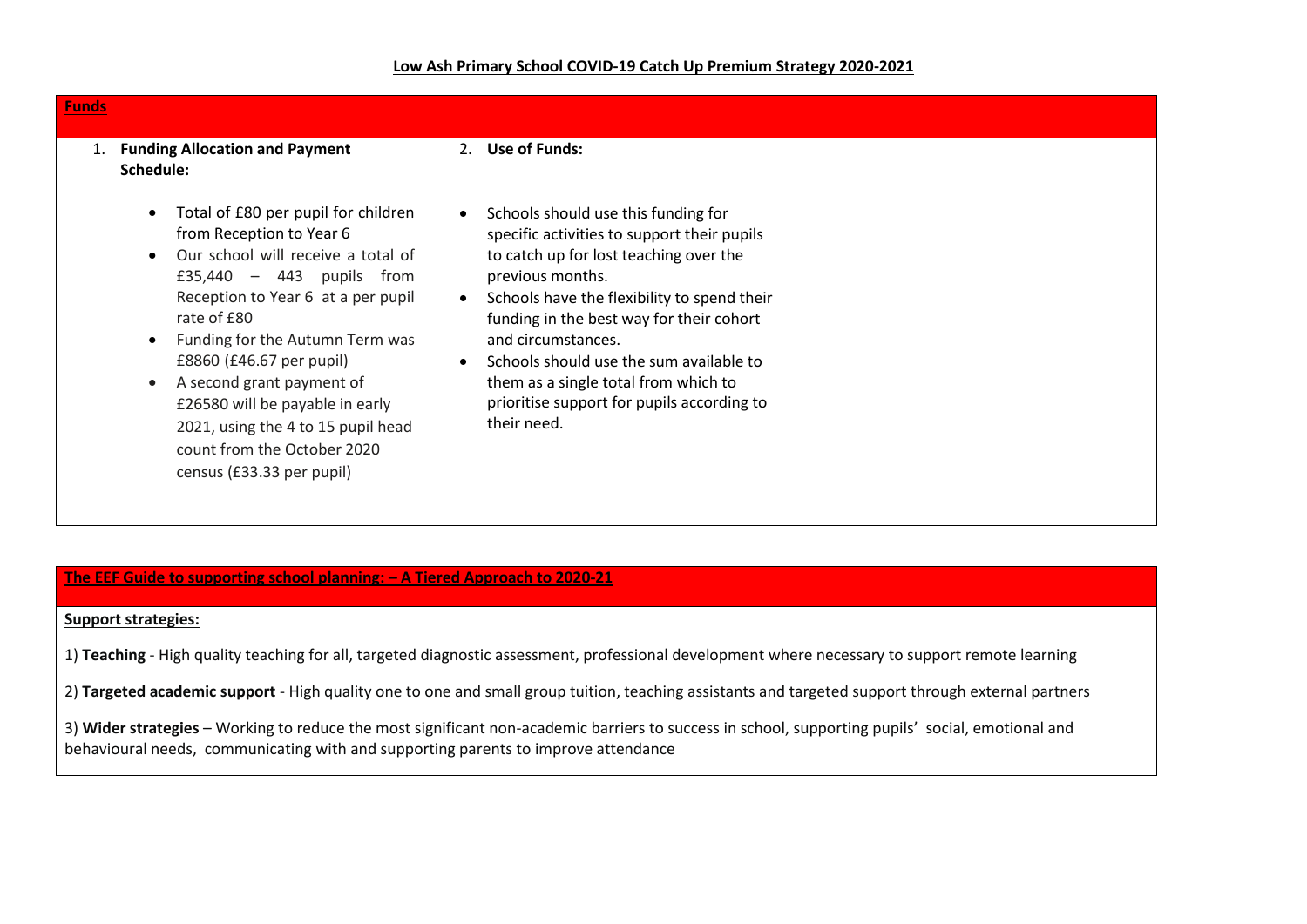| <b>Funds</b>                                                                                                                                                                                                                                                                                                                                                                                                               |                                                                                                                                                                                                                                                                                                                                                                                                                                                          |  |
|----------------------------------------------------------------------------------------------------------------------------------------------------------------------------------------------------------------------------------------------------------------------------------------------------------------------------------------------------------------------------------------------------------------------------|----------------------------------------------------------------------------------------------------------------------------------------------------------------------------------------------------------------------------------------------------------------------------------------------------------------------------------------------------------------------------------------------------------------------------------------------------------|--|
| <b>Funding Allocation and Payment</b><br>1.<br>Schedule:                                                                                                                                                                                                                                                                                                                                                                   | 2. Use of Funds:                                                                                                                                                                                                                                                                                                                                                                                                                                         |  |
| Total of £80 per pupil for children<br>from Reception to Year 6<br>Our school will receive a total of<br>£35,440 $-$ 443 pupils from<br>Reception to Year 6 at a per pupil<br>rate of £80<br>Funding for the Autumn Term was<br>£8860 (£46.67 per pupil)<br>A second grant payment of<br>£26580 will be payable in early<br>2021, using the 4 to 15 pupil head<br>count from the October 2020<br>census (£33.33 per pupil) | Schools should use this funding for<br>$\bullet$<br>specific activities to support their pupils<br>to catch up for lost teaching over the<br>previous months.<br>Schools have the flexibility to spend their<br>$\bullet$<br>funding in the best way for their cohort<br>and circumstances.<br>Schools should use the sum available to<br>$\bullet$<br>them as a single total from which to<br>prioritise support for pupils according to<br>their need. |  |

## **The EEF Guide to supporting school planning: – A Tiered Approach to 2020-21**

## **Support strategies:**

1) **Teaching** - High quality teaching for all, targeted diagnostic assessment, professional development where necessary to support remote learning

2) **Targeted academic support** - High quality one to one and small group tuition, teaching assistants and targeted support through external partners

3) **Wider strategies** – Working to reduce the most significant non-academic barriers to success in school, supporting pupils' social, emotional and behavioural needs, communicating with and supporting parents to improve attendance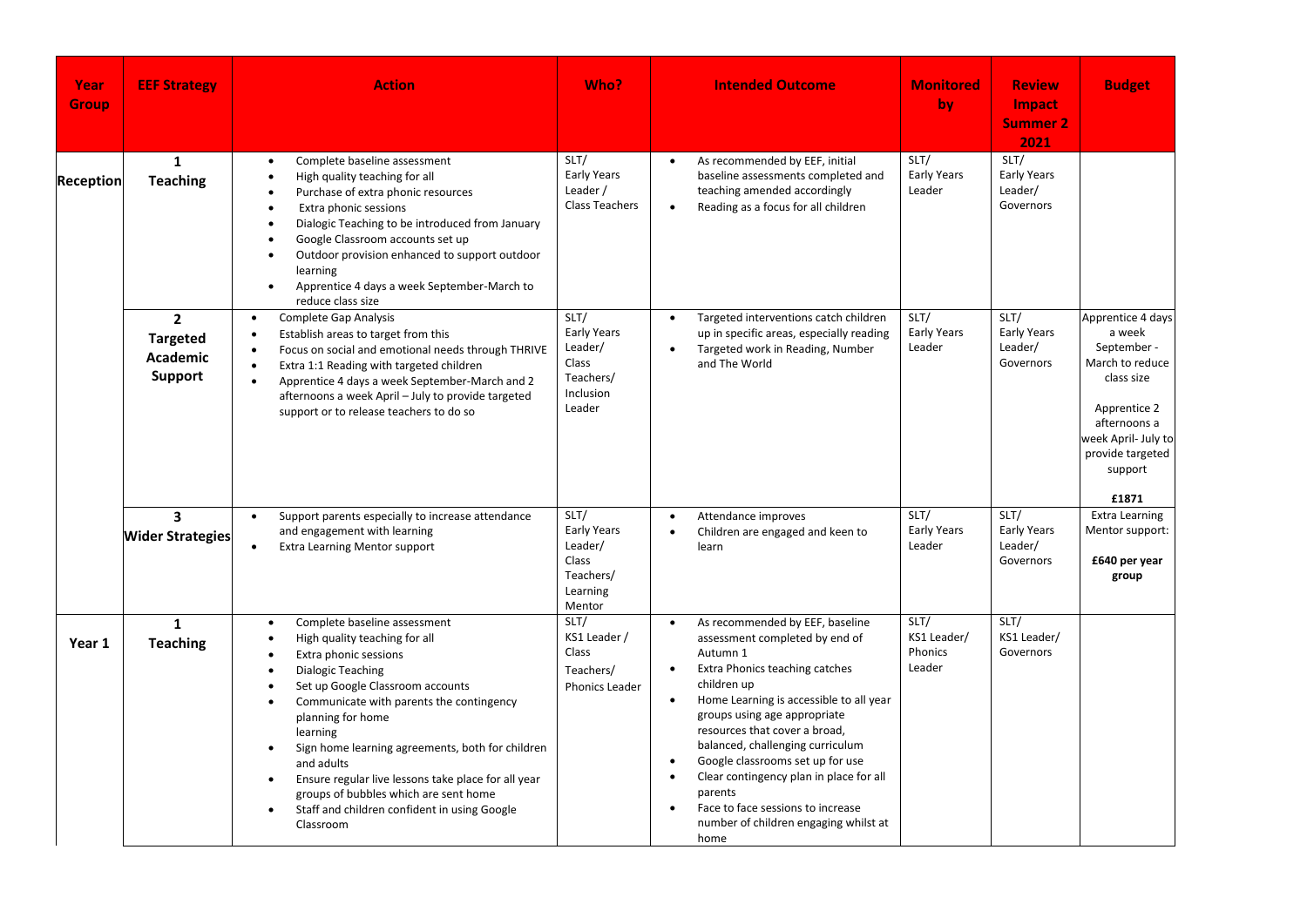| Year<br><b>Group</b> | <b>EEF Strategy</b>                                             | <b>Action</b>                                                                                                                                                                                                                                                                                                                                                                                                                                                                                                                             | Who?                                                                              | <b>Intended Outcome</b>                                                                                                                                                                                                                                                                                                                                                                                                                                                     | <b>Monitored</b><br>by                   | <b>Review</b><br><b>Impact</b><br><b>Summer 2</b><br>2021 | <b>Budget</b>                                                                                                                                                              |
|----------------------|-----------------------------------------------------------------|-------------------------------------------------------------------------------------------------------------------------------------------------------------------------------------------------------------------------------------------------------------------------------------------------------------------------------------------------------------------------------------------------------------------------------------------------------------------------------------------------------------------------------------------|-----------------------------------------------------------------------------------|-----------------------------------------------------------------------------------------------------------------------------------------------------------------------------------------------------------------------------------------------------------------------------------------------------------------------------------------------------------------------------------------------------------------------------------------------------------------------------|------------------------------------------|-----------------------------------------------------------|----------------------------------------------------------------------------------------------------------------------------------------------------------------------------|
| <b>Reception</b>     | $\mathbf{1}$<br><b>Teaching</b>                                 | Complete baseline assessment<br>$\bullet$<br>High quality teaching for all<br>$\bullet$<br>Purchase of extra phonic resources<br>Extra phonic sessions<br>$\bullet$<br>Dialogic Teaching to be introduced from January<br>Google Classroom accounts set up<br>$\bullet$<br>Outdoor provision enhanced to support outdoor<br>learning<br>Apprentice 4 days a week September-March to<br>$\bullet$<br>reduce class size                                                                                                                     | SLT/<br>Early Years<br>Leader /<br><b>Class Teachers</b>                          | As recommended by EEF, initial<br>baseline assessments completed and<br>teaching amended accordingly<br>Reading as a focus for all children                                                                                                                                                                                                                                                                                                                                 | SLT/<br><b>Early Years</b><br>Leader     | SLT/<br><b>Early Years</b><br>Leader/<br>Governors        |                                                                                                                                                                            |
|                      | $\overline{2}$<br><b>Targeted</b><br><b>Academic</b><br>Support | Complete Gap Analysis<br>$\bullet$<br>Establish areas to target from this<br>Focus on social and emotional needs through THRIVE<br>$\bullet$<br>Extra 1:1 Reading with targeted children<br>$\bullet$<br>Apprentice 4 days a week September-March and 2<br>$\bullet$<br>afternoons a week April - July to provide targeted<br>support or to release teachers to do so                                                                                                                                                                     | SLT/<br>Early Years<br>Leader/<br>Class<br>Teachers/<br>Inclusion<br>Leader       | Targeted interventions catch children<br>$\bullet$<br>up in specific areas, especially reading<br>Targeted work in Reading, Number<br>$\bullet$<br>and The World                                                                                                                                                                                                                                                                                                            | SLT/<br>Early Years<br>Leader            | SLT/<br>Early Years<br>Leader/<br>Governors               | Apprentice 4 days<br>a week<br>September -<br>March to reduce<br>class size<br>Apprentice 2<br>afternoons a<br>week April- July to<br>provide targeted<br>support<br>£1871 |
|                      | $\overline{\mathbf{3}}$<br><b>Wider Strategies</b>              | Support parents especially to increase attendance<br>$\bullet$<br>and engagement with learning<br><b>Extra Learning Mentor support</b>                                                                                                                                                                                                                                                                                                                                                                                                    | SLT/<br><b>Early Years</b><br>Leader/<br>Class<br>Teachers/<br>Learning<br>Mentor | Attendance improves<br>$\bullet$<br>Children are engaged and keen to<br>learn                                                                                                                                                                                                                                                                                                                                                                                               | SLT/<br><b>Early Years</b><br>Leader     | SLT/<br><b>Early Years</b><br>Leader/<br>Governors        | <b>Extra Learning</b><br>Mentor support:<br>£640 per year<br>group                                                                                                         |
| Year 1               | $\mathbf{1}$<br><b>Teaching</b>                                 | Complete baseline assessment<br>$\bullet$<br>High quality teaching for all<br>$\bullet$<br>Extra phonic sessions<br>Dialogic Teaching<br>$\bullet$<br>Set up Google Classroom accounts<br>Communicate with parents the contingency<br>$\bullet$<br>planning for home<br>learning<br>Sign home learning agreements, both for children<br>$\bullet$<br>and adults<br>Ensure regular live lessons take place for all year<br>$\bullet$<br>groups of bubbles which are sent home<br>Staff and children confident in using Google<br>Classroom | SLT/<br>KS1 Leader /<br>Class<br>Teachers/<br>Phonics Leader                      | As recommended by EEF, baseline<br>$\bullet$<br>assessment completed by end of<br>Autumn 1<br>Extra Phonics teaching catches<br>children up<br>Home Learning is accessible to all year<br>groups using age appropriate<br>resources that cover a broad,<br>balanced, challenging curriculum<br>Google classrooms set up for use<br>Clear contingency plan in place for all<br>parents<br>Face to face sessions to increase<br>number of children engaging whilst at<br>home | SLT/<br>KS1 Leader/<br>Phonics<br>Leader | SLT/<br>KS1 Leader/<br>Governors                          |                                                                                                                                                                            |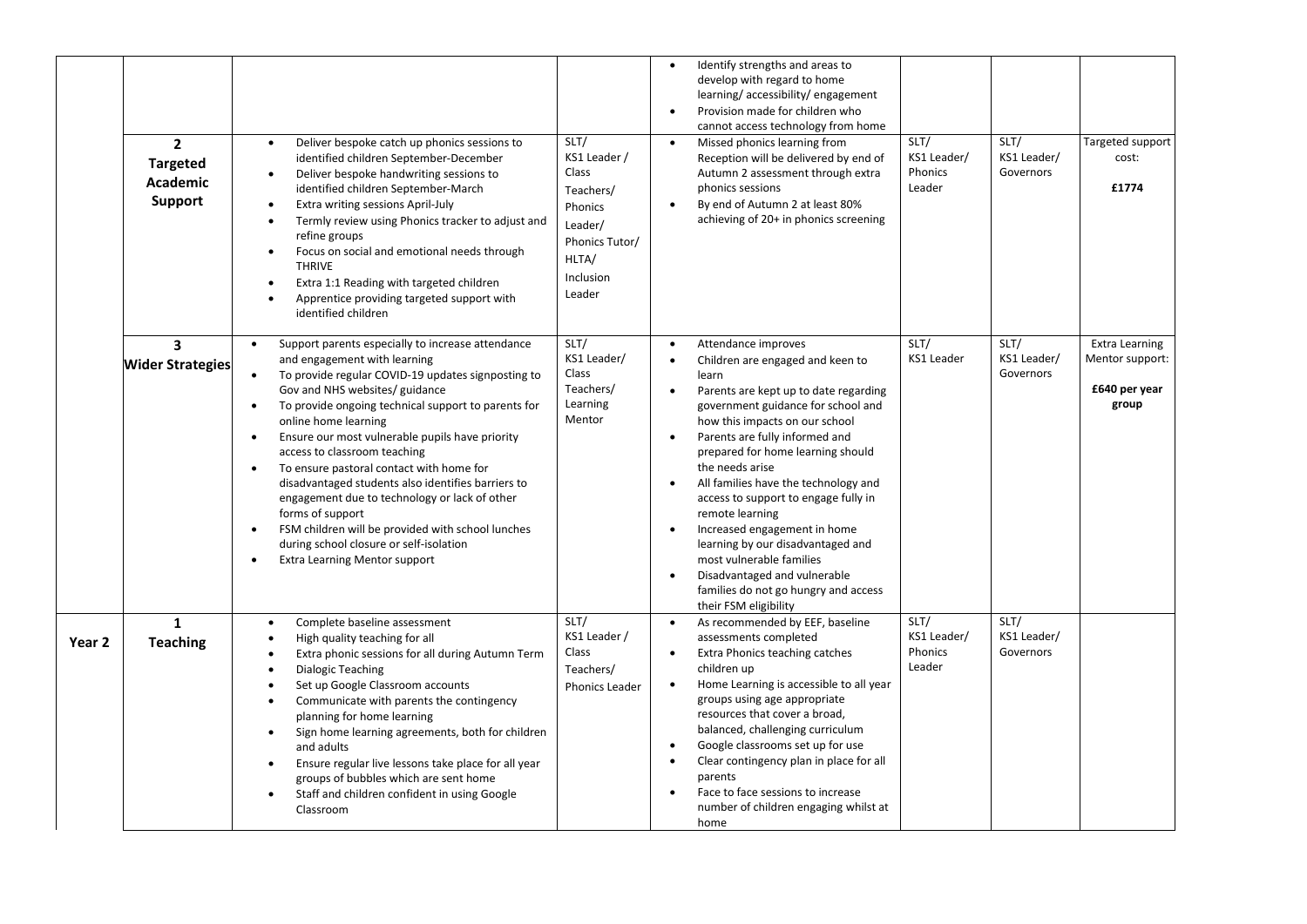|        | $\overline{2}$<br><b>Targeted</b><br><b>Academic</b><br>Support | Deliver bespoke catch up phonics sessions to<br>$\bullet$<br>identified children September-December<br>Deliver bespoke handwriting sessions to<br>identified children September-March<br>Extra writing sessions April-July<br>$\bullet$<br>Termly review using Phonics tracker to adjust and<br>refine groups<br>Focus on social and emotional needs through<br>$\bullet$<br><b>THRIVE</b><br>Extra 1:1 Reading with targeted children<br>Apprentice providing targeted support with<br>identified children                                                                                                                                                                                                                                           | SLT/<br>KS1 Leader /<br>Class<br>Teachers/<br>Phonics<br>Leader/<br>Phonics Tutor/<br>HLTA/<br>Inclusion<br>Leader | Identify strengths and areas to<br>$\bullet$<br>develop with regard to home<br>learning/accessibility/engagement<br>Provision made for children who<br>$\bullet$<br>cannot access technology from home<br>SLT/<br>SLT/<br>Targeted support<br>Missed phonics learning from<br>$\bullet$<br>KS1 Leader/<br>KS1 Leader/<br>Reception will be delivered by end of<br>cost:<br>Phonics<br>Governors<br>Autumn 2 assessment through extra<br>Leader<br>£1774<br>phonics sessions<br>By end of Autumn 2 at least 80%<br>$\bullet$<br>achieving of 20+ in phonics screening                                                                                                                                                                                                                                        |
|--------|-----------------------------------------------------------------|-------------------------------------------------------------------------------------------------------------------------------------------------------------------------------------------------------------------------------------------------------------------------------------------------------------------------------------------------------------------------------------------------------------------------------------------------------------------------------------------------------------------------------------------------------------------------------------------------------------------------------------------------------------------------------------------------------------------------------------------------------|--------------------------------------------------------------------------------------------------------------------|-------------------------------------------------------------------------------------------------------------------------------------------------------------------------------------------------------------------------------------------------------------------------------------------------------------------------------------------------------------------------------------------------------------------------------------------------------------------------------------------------------------------------------------------------------------------------------------------------------------------------------------------------------------------------------------------------------------------------------------------------------------------------------------------------------------|
|        | $\overline{\mathbf{3}}$<br><b>Wider Strategies</b>              | Support parents especially to increase attendance<br>$\bullet$<br>and engagement with learning<br>To provide regular COVID-19 updates signposting to<br>$\bullet$<br>Gov and NHS websites/ guidance<br>To provide ongoing technical support to parents for<br>$\bullet$<br>online home learning<br>Ensure our most vulnerable pupils have priority<br>$\bullet$<br>access to classroom teaching<br>To ensure pastoral contact with home for<br>$\bullet$<br>disadvantaged students also identifies barriers to<br>engagement due to technology or lack of other<br>forms of support<br>FSM children will be provided with school lunches<br>$\bullet$<br>during school closure or self-isolation<br><b>Extra Learning Mentor support</b><br>$\bullet$ | SLT/<br>KS1 Leader/<br>Class<br>Teachers/<br>Learning<br>Mentor                                                    | SLT/<br>SLT/<br><b>Extra Learning</b><br>Attendance improves<br>$\bullet$<br>KS1 Leader<br>KS1 Leader/<br>Mentor support:<br>Children are engaged and keen to<br>$\bullet$<br>Governors<br>learn<br>£640 per year<br>Parents are kept up to date regarding<br>$\bullet$<br>group<br>government guidance for school and<br>how this impacts on our school<br>Parents are fully informed and<br>$\bullet$<br>prepared for home learning should<br>the needs arise<br>All families have the technology and<br>$\bullet$<br>access to support to engage fully in<br>remote learning<br>Increased engagement in home<br>$\bullet$<br>learning by our disadvantaged and<br>most vulnerable families<br>Disadvantaged and vulnerable<br>$\bullet$<br>families do not go hungry and access<br>their FSM eligibility |
| Year 2 | $\mathbf{1}$<br><b>Teaching</b>                                 | Complete baseline assessment<br>$\bullet$<br>High quality teaching for all<br>$\bullet$<br>Extra phonic sessions for all during Autumn Term<br><b>Dialogic Teaching</b><br>$\bullet$<br>Set up Google Classroom accounts<br>$\bullet$<br>Communicate with parents the contingency<br>$\bullet$<br>planning for home learning<br>Sign home learning agreements, both for children<br>$\bullet$<br>and adults<br>Ensure regular live lessons take place for all year<br>$\bullet$<br>groups of bubbles which are sent home<br>Staff and children confident in using Google<br>Classroom                                                                                                                                                                 | SLT/<br>KS1 Leader /<br>Class<br>Teachers/<br>Phonics Leader                                                       | SLT/<br>SLT/<br>As recommended by EEF, baseline<br>$\bullet$<br>KS1 Leader/<br>KS1 Leader/<br>assessments completed<br>Phonics<br>Governors<br>Extra Phonics teaching catches<br>$\bullet$<br>Leader<br>children up<br>Home Learning is accessible to all year<br>$\bullet$<br>groups using age appropriate<br>resources that cover a broad,<br>balanced, challenging curriculum<br>Google classrooms set up for use<br>$\bullet$<br>Clear contingency plan in place for all<br>$\bullet$<br>parents<br>Face to face sessions to increase<br>number of children engaging whilst at<br>home                                                                                                                                                                                                                  |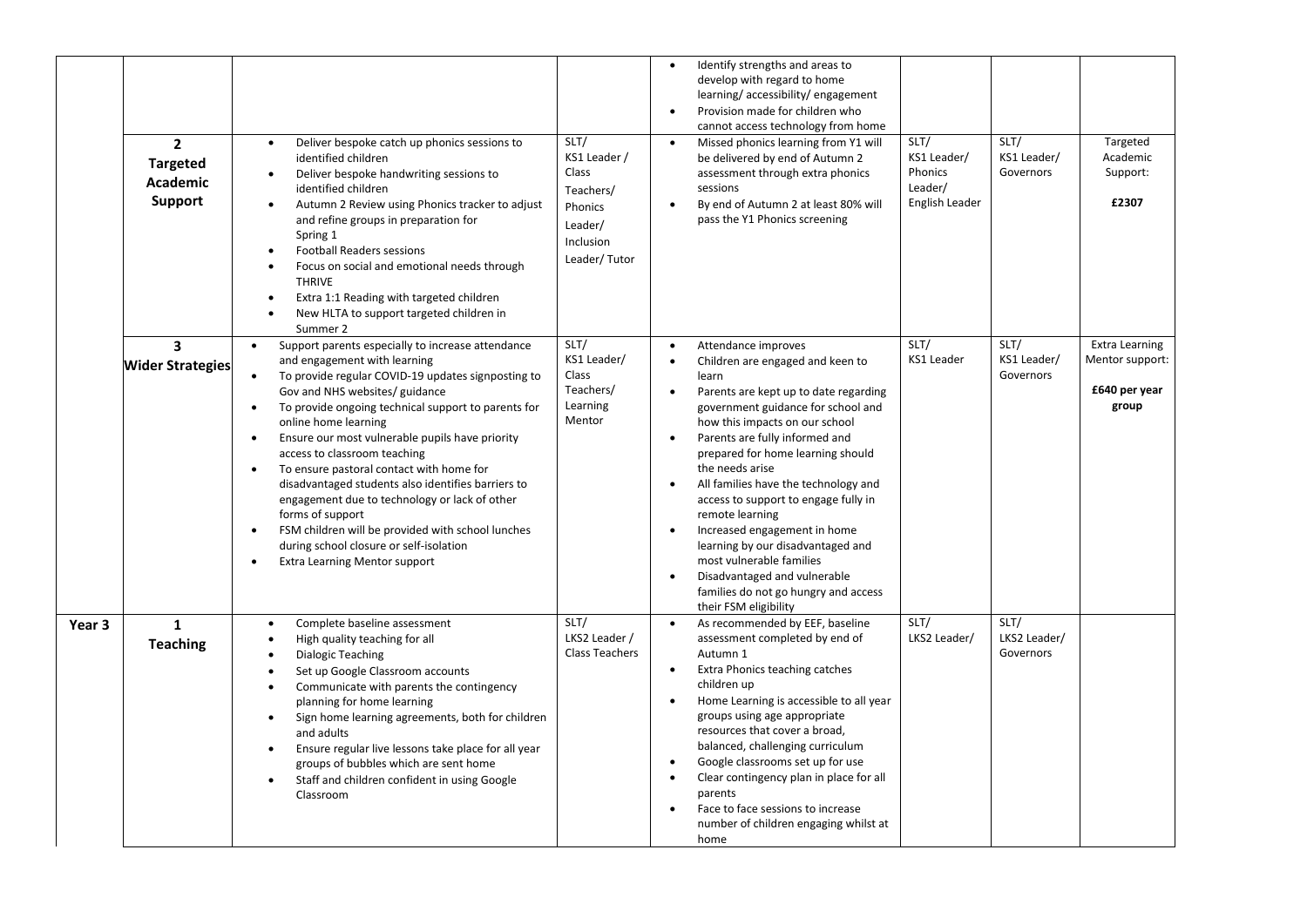|        | $\overline{2}$<br><b>Targeted</b><br><b>Academic</b><br>Support | Deliver bespoke catch up phonics sessions to<br>$\bullet$<br>identified children<br>Deliver bespoke handwriting sessions to<br>$\bullet$<br>identified children<br>Autumn 2 Review using Phonics tracker to adjust<br>$\bullet$<br>and refine groups in preparation for<br>Spring 1<br><b>Football Readers sessions</b><br>$\bullet$<br>Focus on social and emotional needs through<br>$\bullet$<br><b>THRIVE</b><br>Extra 1:1 Reading with targeted children<br>$\bullet$<br>New HLTA to support targeted children in<br>$\bullet$                                                                                                                                                                                                                        | SLT/<br>KS1 Leader /<br>Class<br>Teachers/<br>Phonics<br>Leader/<br>Inclusion<br>Leader/Tutor | Identify strengths and areas to<br>$\bullet$<br>develop with regard to home<br>learning/accessibility/engagement<br>Provision made for children who<br>$\bullet$<br>cannot access technology from home<br>SLT/<br>SLT/<br>Targeted<br>Missed phonics learning from Y1 will<br>$\bullet$<br>KS1 Leader/<br>KS1 Leader/<br>Academic<br>be delivered by end of Autumn 2<br>Phonics<br>Governors<br>Support:<br>assessment through extra phonics<br>Leader/<br>sessions<br>English Leader<br>£2307<br>By end of Autumn 2 at least 80% will<br>pass the Y1 Phonics screening                                                                                                                                                              |
|--------|-----------------------------------------------------------------|------------------------------------------------------------------------------------------------------------------------------------------------------------------------------------------------------------------------------------------------------------------------------------------------------------------------------------------------------------------------------------------------------------------------------------------------------------------------------------------------------------------------------------------------------------------------------------------------------------------------------------------------------------------------------------------------------------------------------------------------------------|-----------------------------------------------------------------------------------------------|--------------------------------------------------------------------------------------------------------------------------------------------------------------------------------------------------------------------------------------------------------------------------------------------------------------------------------------------------------------------------------------------------------------------------------------------------------------------------------------------------------------------------------------------------------------------------------------------------------------------------------------------------------------------------------------------------------------------------------------|
|        | $\overline{\mathbf{3}}$<br><b>Wider Strategies</b>              | Summer 2<br>Support parents especially to increase attendance<br>$\bullet$<br>and engagement with learning<br>To provide regular COVID-19 updates signposting to<br>$\bullet$<br>Gov and NHS websites/ guidance<br>To provide ongoing technical support to parents for<br>$\bullet$<br>online home learning<br>Ensure our most vulnerable pupils have priority<br>$\bullet$<br>access to classroom teaching<br>To ensure pastoral contact with home for<br>$\bullet$<br>disadvantaged students also identifies barriers to<br>engagement due to technology or lack of other<br>forms of support<br>FSM children will be provided with school lunches<br>$\bullet$<br>during school closure or self-isolation<br>Extra Learning Mentor support<br>$\bullet$ | SLT/<br>KS1 Leader/<br>Class<br>Teachers/<br>Learning<br>Mentor                               | SLT/<br>SLT/<br>Extra Learning<br>Attendance improves<br>$\bullet$<br>KS1 Leader<br>KS1 Leader/<br>Mentor support:<br>Children are engaged and keen to<br>Governors<br>learn<br>£640 per year<br>Parents are kept up to date regarding<br>group<br>government guidance for school and<br>how this impacts on our school<br>Parents are fully informed and<br>$\bullet$<br>prepared for home learning should<br>the needs arise<br>All families have the technology and<br>$\bullet$<br>access to support to engage fully in<br>remote learning<br>Increased engagement in home<br>learning by our disadvantaged and<br>most vulnerable families<br>Disadvantaged and vulnerable<br>$\bullet$<br>families do not go hungry and access |
| Year 3 | $\mathbf{1}$<br><b>Teaching</b>                                 | Complete baseline assessment<br>$\bullet$<br>High quality teaching for all<br>$\bullet$<br>$\bullet$<br>Dialogic Teaching<br>$\bullet$<br>Set up Google Classroom accounts<br>Communicate with parents the contingency<br>$\bullet$<br>planning for home learning<br>Sign home learning agreements, both for children<br>$\bullet$<br>and adults<br>Ensure regular live lessons take place for all year<br>$\bullet$<br>groups of bubbles which are sent home<br>Staff and children confident in using Google<br>$\bullet$<br>Classroom                                                                                                                                                                                                                    | SLT/<br>LKS2 Leader /<br><b>Class Teachers</b>                                                | their FSM eligibility<br>SLT/<br>SLT/<br>As recommended by EEF, baseline<br>$\bullet$<br>LKS2 Leader/<br>LKS2 Leader/<br>assessment completed by end of<br>Autumn 1<br>Governors<br>Extra Phonics teaching catches<br>$\bullet$<br>children up<br>Home Learning is accessible to all year<br>groups using age appropriate<br>resources that cover a broad,<br>balanced, challenging curriculum<br>Google classrooms set up for use<br>Clear contingency plan in place for all<br>$\bullet$<br>parents<br>Face to face sessions to increase<br>number of children engaging whilst at<br>home                                                                                                                                          |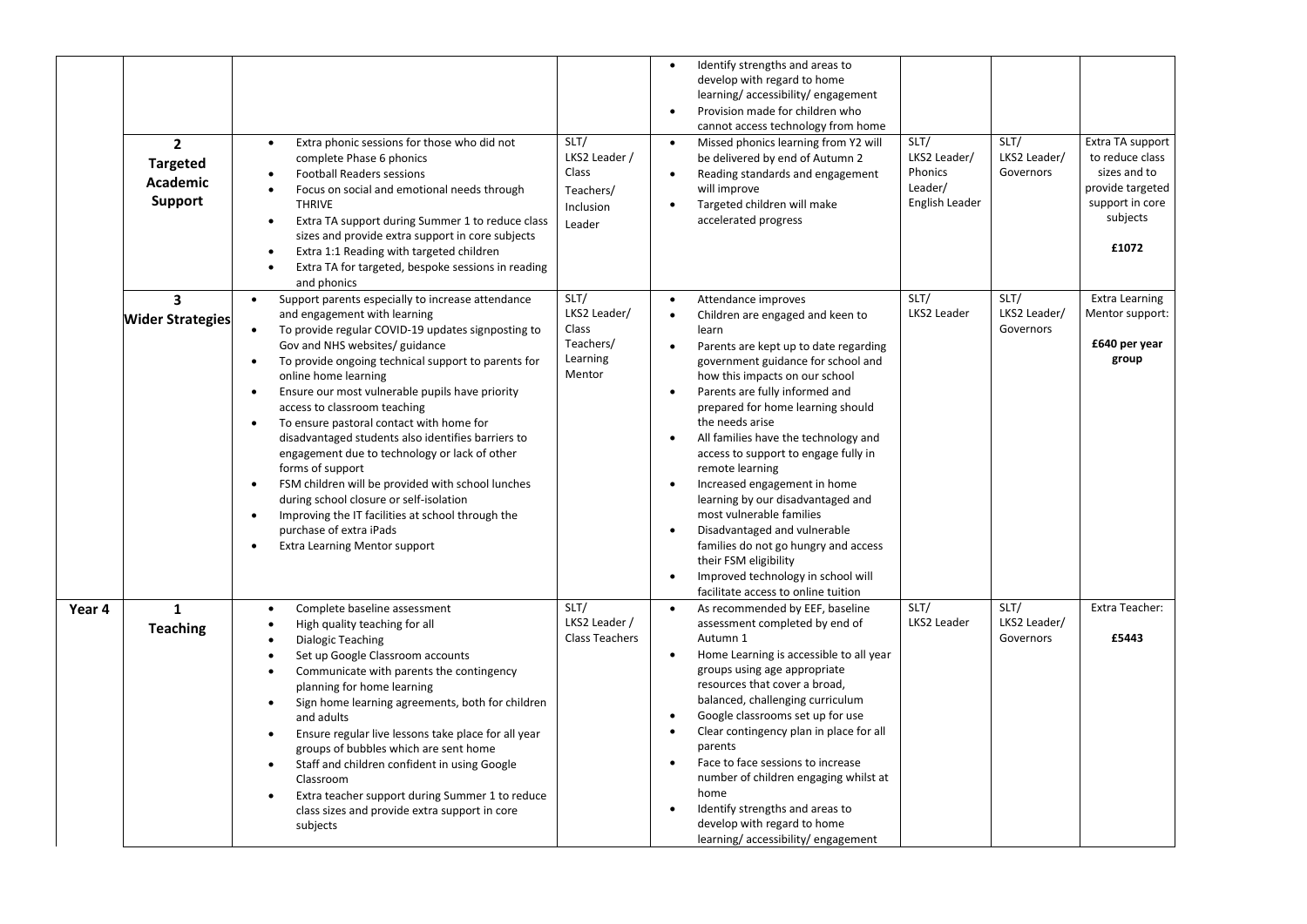|        | $\mathbf{2}$<br><b>Targeted</b><br><b>Academic</b><br>Support | Extra phonic sessions for those who did not<br>$\bullet$<br>complete Phase 6 phonics<br><b>Football Readers sessions</b><br>$\bullet$<br>Focus on social and emotional needs through<br>$\bullet$<br><b>THRIVE</b><br>Extra TA support during Summer 1 to reduce class<br>$\bullet$<br>sizes and provide extra support in core subjects<br>Extra 1:1 Reading with targeted children<br>Extra TA for targeted, bespoke sessions in reading<br>and phonics                                                                                                                                                                                                                                                                                                                                                                                           | SLT/<br>LKS2 Leader /<br>Class<br>Teachers/<br>Inclusion<br>Leader | Identify strengths and areas to<br>$\bullet$<br>develop with regard to home<br>learning/accessibility/engagement<br>Provision made for children who<br>$\bullet$<br>cannot access technology from home<br>Missed phonics learning from Y2 will<br>$\bullet$<br>be delivered by end of Autumn 2<br>Reading standards and engagement<br>will improve<br>Targeted children will make<br>accelerated progress                                                                                                                                                                                                                                                                               | SLT/<br>LKS2 Leader/<br>Phonics<br>Leader/<br>English Leader | SLT/<br>LKS2 Leader/<br>Governors | Extra TA support<br>to reduce class<br>sizes and to<br>provide targeted<br>support in core<br>subjects<br>£1072 |
|--------|---------------------------------------------------------------|----------------------------------------------------------------------------------------------------------------------------------------------------------------------------------------------------------------------------------------------------------------------------------------------------------------------------------------------------------------------------------------------------------------------------------------------------------------------------------------------------------------------------------------------------------------------------------------------------------------------------------------------------------------------------------------------------------------------------------------------------------------------------------------------------------------------------------------------------|--------------------------------------------------------------------|-----------------------------------------------------------------------------------------------------------------------------------------------------------------------------------------------------------------------------------------------------------------------------------------------------------------------------------------------------------------------------------------------------------------------------------------------------------------------------------------------------------------------------------------------------------------------------------------------------------------------------------------------------------------------------------------|--------------------------------------------------------------|-----------------------------------|-----------------------------------------------------------------------------------------------------------------|
|        | $\overline{\mathbf{3}}$<br><b>Wider Strategies</b>            | Support parents especially to increase attendance<br>$\bullet$<br>and engagement with learning<br>To provide regular COVID-19 updates signposting to<br>$\bullet$<br>Gov and NHS websites/ guidance<br>To provide ongoing technical support to parents for<br>$\bullet$<br>online home learning<br>Ensure our most vulnerable pupils have priority<br>$\bullet$<br>access to classroom teaching<br>To ensure pastoral contact with home for<br>$\bullet$<br>disadvantaged students also identifies barriers to<br>engagement due to technology or lack of other<br>forms of support<br>FSM children will be provided with school lunches<br>$\bullet$<br>during school closure or self-isolation<br>Improving the IT facilities at school through the<br>$\bullet$<br>purchase of extra iPads<br><b>Extra Learning Mentor support</b><br>$\bullet$ | SLT/<br>LKS2 Leader/<br>Class<br>Teachers/<br>Learning<br>Mentor   | Attendance improves<br>$\bullet$<br>Children are engaged and keen to<br>learn<br>Parents are kept up to date regarding<br>$\bullet$<br>government guidance for school and<br>how this impacts on our school<br>Parents are fully informed and<br>$\bullet$<br>prepared for home learning should<br>the needs arise<br>All families have the technology and<br>access to support to engage fully in<br>remote learning<br>Increased engagement in home<br>$\bullet$<br>learning by our disadvantaged and<br>most vulnerable families<br>Disadvantaged and vulnerable<br>families do not go hungry and access<br>their FSM eligibility<br>Improved technology in school will<br>$\bullet$ | SLT/<br>LKS2 Leader                                          | SLT/<br>LKS2 Leader/<br>Governors | Extra Learning<br>Mentor support:<br>£640 per year<br>group                                                     |
| Year 4 | $\mathbf{1}$<br><b>Teaching</b>                               | Complete baseline assessment<br>$\bullet$<br>High quality teaching for all<br><b>Dialogic Teaching</b><br>$\bullet$<br>Set up Google Classroom accounts<br>$\bullet$<br>Communicate with parents the contingency<br>$\bullet$<br>planning for home learning<br>Sign home learning agreements, both for children<br>$\bullet$<br>and adults<br>Ensure regular live lessons take place for all year<br>$\bullet$<br>groups of bubbles which are sent home<br>Staff and children confident in using Google<br>$\bullet$<br>Classroom<br>Extra teacher support during Summer 1 to reduce<br>class sizes and provide extra support in core<br>subjects                                                                                                                                                                                                  | SLT/<br>LKS2 Leader /<br>Class Teachers                            | facilitate access to online tuition<br>As recommended by EEF, baseline<br>$\bullet$<br>assessment completed by end of<br>Autumn 1<br>Home Learning is accessible to all year<br>$\bullet$<br>groups using age appropriate<br>resources that cover a broad,<br>balanced, challenging curriculum<br>Google classrooms set up for use<br>$\bullet$<br>Clear contingency plan in place for all<br>$\bullet$<br>parents<br>Face to face sessions to increase<br>number of children engaging whilst at<br>home<br>Identify strengths and areas to<br>develop with regard to home<br>learning/accessibility/engagement                                                                         | SLT/<br>LKS2 Leader                                          | SLT/<br>LKS2 Leader/<br>Governors | Extra Teacher:<br>£5443                                                                                         |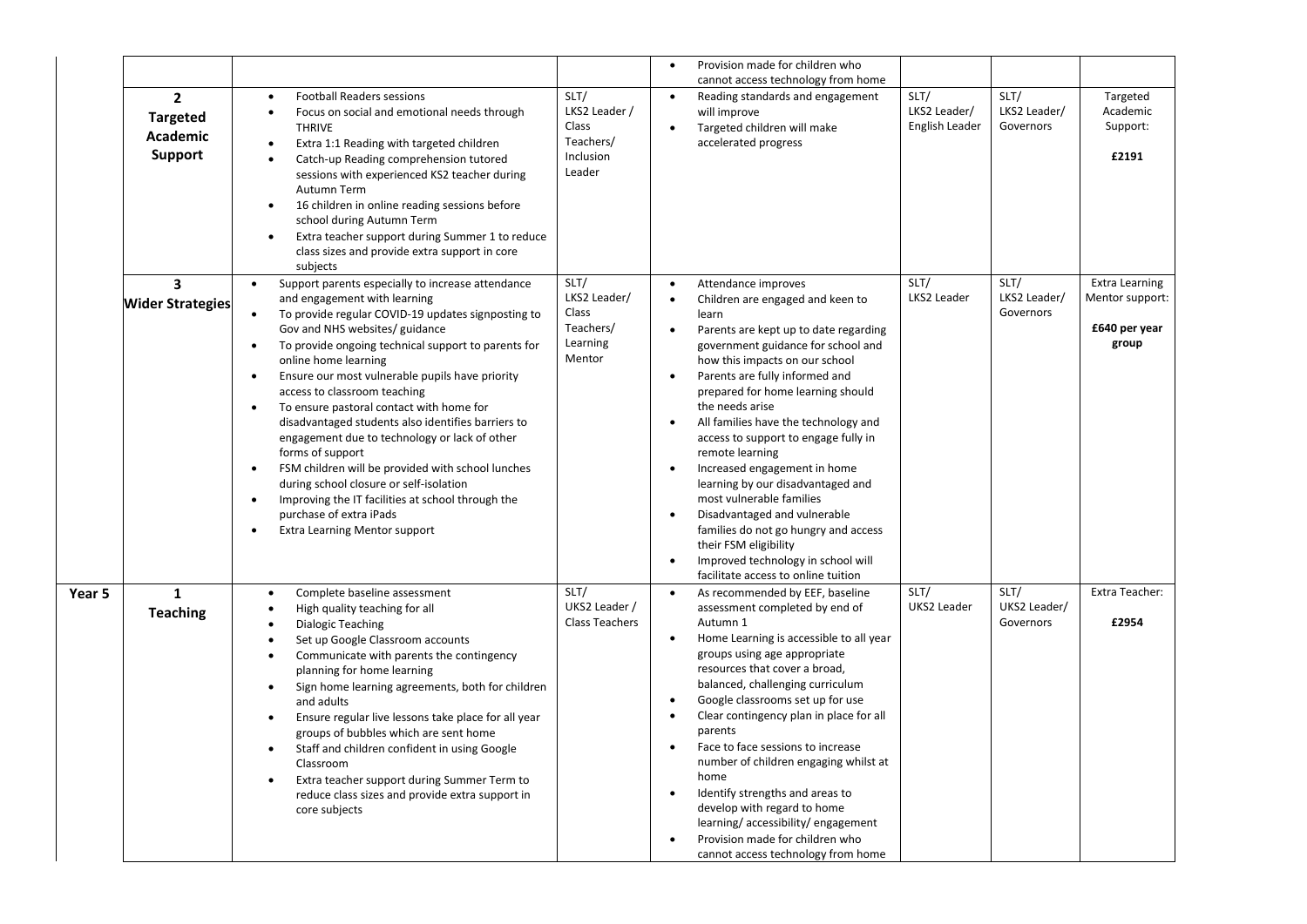|        |                                                                      |                                                                                                                                                                                                                                                                                                                                                                                                                                                                                                                                                                                                                                                                                                                                                                                                                          |                                                                    | Provision made for children who                                                                                                                                                                                                                                                                                                                                                                                                                                                                                                                                                                                                                                                                                                                     |                                                                    |
|--------|----------------------------------------------------------------------|--------------------------------------------------------------------------------------------------------------------------------------------------------------------------------------------------------------------------------------------------------------------------------------------------------------------------------------------------------------------------------------------------------------------------------------------------------------------------------------------------------------------------------------------------------------------------------------------------------------------------------------------------------------------------------------------------------------------------------------------------------------------------------------------------------------------------|--------------------------------------------------------------------|-----------------------------------------------------------------------------------------------------------------------------------------------------------------------------------------------------------------------------------------------------------------------------------------------------------------------------------------------------------------------------------------------------------------------------------------------------------------------------------------------------------------------------------------------------------------------------------------------------------------------------------------------------------------------------------------------------------------------------------------------------|--------------------------------------------------------------------|
|        | $\mathbf{2}$<br><b>Targeted</b><br><b>Academic</b><br><b>Support</b> | <b>Football Readers sessions</b><br>$\bullet$<br>Focus on social and emotional needs through<br>$\bullet$<br><b>THRIVE</b><br>Extra 1:1 Reading with targeted children<br>Catch-up Reading comprehension tutored<br>$\bullet$<br>sessions with experienced KS2 teacher during<br>Autumn Term<br>16 children in online reading sessions before<br>school during Autumn Term<br>Extra teacher support during Summer 1 to reduce<br>class sizes and provide extra support in core<br>subjects                                                                                                                                                                                                                                                                                                                               | SLT/<br>LKS2 Leader /<br>Class<br>Teachers/<br>Inclusion<br>Leader | cannot access technology from home<br>SLT/<br>SLT/<br>Reading standards and engagement<br>$\bullet$<br>LKS2 Leader/<br>LKS2 Leader/<br>will improve<br>English Leader<br>Governors<br>Targeted children will make<br>$\bullet$<br>accelerated progress                                                                                                                                                                                                                                                                                                                                                                                                                                                                                              | Targeted<br>Academic<br>Support:<br>£2191                          |
|        | 3<br><b>Wider Strategies</b>                                         | Support parents especially to increase attendance<br>$\bullet$<br>and engagement with learning<br>To provide regular COVID-19 updates signposting to<br>Gov and NHS websites/ guidance<br>To provide ongoing technical support to parents for<br>$\bullet$<br>online home learning<br>Ensure our most vulnerable pupils have priority<br>$\bullet$<br>access to classroom teaching<br>To ensure pastoral contact with home for<br>$\bullet$<br>disadvantaged students also identifies barriers to<br>engagement due to technology or lack of other<br>forms of support<br>FSM children will be provided with school lunches<br>$\bullet$<br>during school closure or self-isolation<br>Improving the IT facilities at school through the<br>$\bullet$<br>purchase of extra iPads<br><b>Extra Learning Mentor support</b> | SLT/<br>LKS2 Leader/<br>Class<br>Teachers/<br>Learning<br>Mentor   | SLT/<br>SLT/<br>Attendance improves<br>LKS2 Leader/<br>LKS2 Leader<br>Children are engaged and keen to<br>Governors<br>learn<br>Parents are kept up to date regarding<br>$\bullet$<br>government guidance for school and<br>how this impacts on our school<br>Parents are fully informed and<br>prepared for home learning should<br>the needs arise<br>All families have the technology and<br>access to support to engage fully in<br>remote learning<br>Increased engagement in home<br>learning by our disadvantaged and<br>most vulnerable families<br>Disadvantaged and vulnerable<br>families do not go hungry and access<br>their FSM eligibility<br>Improved technology in school will<br>$\bullet$<br>facilitate access to online tuition | <b>Extra Learning</b><br>Mentor support:<br>£640 per year<br>group |
| Year 5 | $\mathbf{1}$<br><b>Teaching</b>                                      | Complete baseline assessment<br>$\bullet$<br>High quality teaching for all<br>$\bullet$<br>Dialogic Teaching<br>$\bullet$<br>Set up Google Classroom accounts<br>$\bullet$<br>Communicate with parents the contingency<br>$\bullet$<br>planning for home learning<br>Sign home learning agreements, both for children<br>$\bullet$<br>and adults<br>Ensure regular live lessons take place for all year<br>groups of bubbles which are sent home<br>Staff and children confident in using Google<br>$\bullet$<br>Classroom<br>Extra teacher support during Summer Term to<br>reduce class sizes and provide extra support in<br>core subjects                                                                                                                                                                            | SLT/<br>UKS2 Leader /<br><b>Class Teachers</b>                     | SLT/<br>SLT/<br>As recommended by EEF, baseline<br>UKS2 Leader<br>UKS2 Leader/<br>assessment completed by end of<br>Autumn 1<br>Governors<br>Home Learning is accessible to all year<br>groups using age appropriate<br>resources that cover a broad,<br>balanced, challenging curriculum<br>Google classrooms set up for use<br>Clear contingency plan in place for all<br>$\bullet$<br>parents<br>Face to face sessions to increase<br>number of children engaging whilst at<br>home<br>Identify strengths and areas to<br>develop with regard to home<br>learning/accessibility/engagement<br>Provision made for children who<br>cannot access technology from home                                                                              | Extra Teacher:<br>£2954                                            |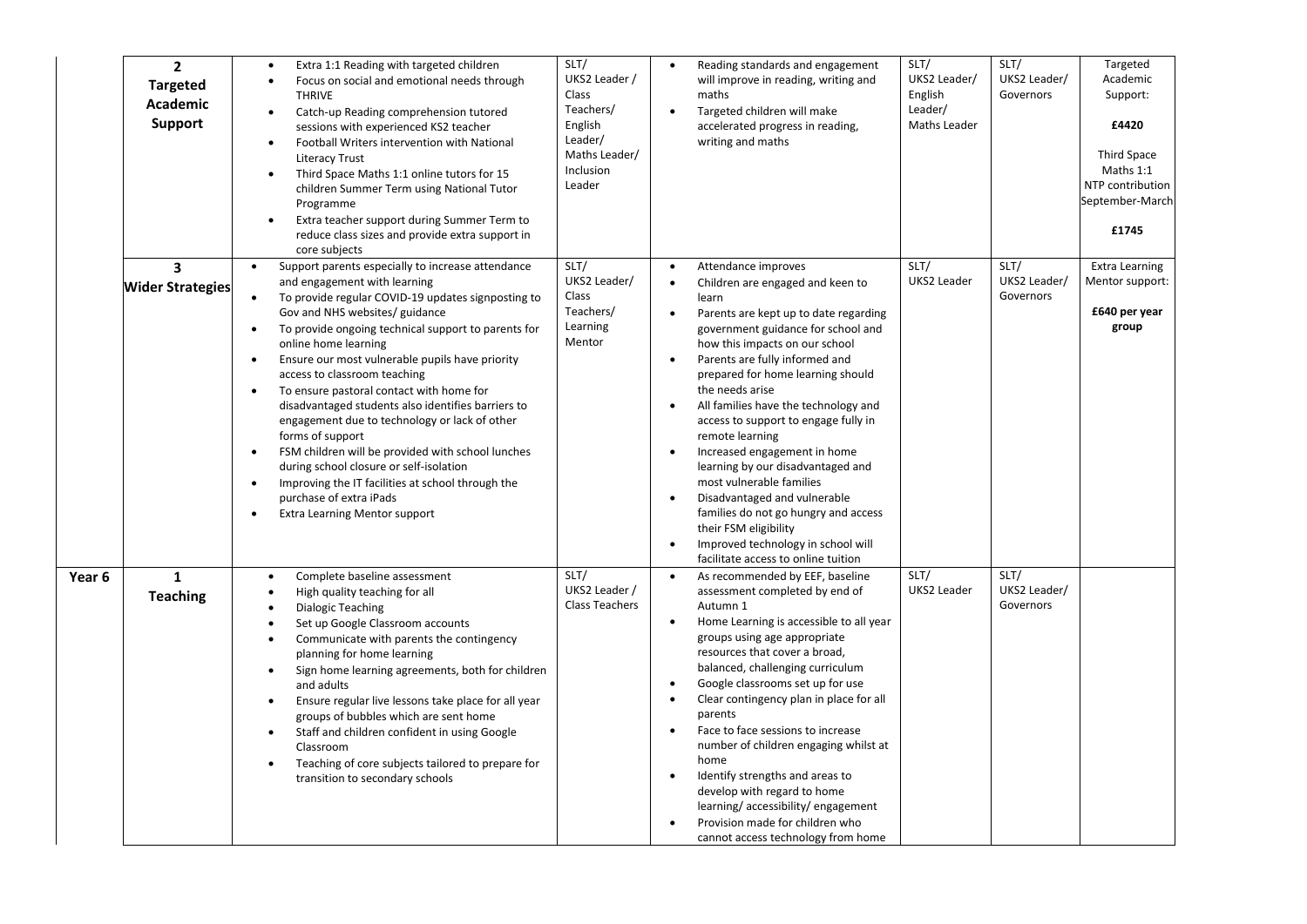|        | $\overline{2}$<br><b>Targeted</b><br>Academic<br><b>Support</b> | Extra 1:1 Reading with targeted children<br>$\bullet$<br>Focus on social and emotional needs through<br><b>THRIVE</b><br>Catch-up Reading comprehension tutored<br>$\bullet$<br>sessions with experienced KS2 teacher<br>Football Writers intervention with National<br>$\bullet$<br><b>Literacy Trust</b><br>Third Space Maths 1:1 online tutors for 15<br>$\bullet$<br>children Summer Term using National Tutor<br>Programme<br>Extra teacher support during Summer Term to<br>$\bullet$<br>reduce class sizes and provide extra support in<br>core subjects                                                                                                                                                                                                                                                                       | SLT/<br>UKS2 Leader /<br>Class<br>Teachers/<br>English<br>Leader/<br>Maths Leader/<br>Inclusion<br>Leader | $\bullet$<br>$\bullet$                                                     | Reading standards and engagement<br>will improve in reading, writing and<br>maths<br>Targeted children will make<br>accelerated progress in reading,<br>writing and maths                                                                                                                                                                                                                                                                                                                                                                                                                                                                                     | SLT/<br>UKS2 Leader/<br>English<br>Leader/<br>Maths Leader | SLT/<br>UKS2 Leader/<br>Governors | Targeted<br>Academic<br>Support:<br>£4420<br>Third Space<br>Maths 1:1<br>NTP contribution<br>September-March<br>£1745 |
|--------|-----------------------------------------------------------------|---------------------------------------------------------------------------------------------------------------------------------------------------------------------------------------------------------------------------------------------------------------------------------------------------------------------------------------------------------------------------------------------------------------------------------------------------------------------------------------------------------------------------------------------------------------------------------------------------------------------------------------------------------------------------------------------------------------------------------------------------------------------------------------------------------------------------------------|-----------------------------------------------------------------------------------------------------------|----------------------------------------------------------------------------|---------------------------------------------------------------------------------------------------------------------------------------------------------------------------------------------------------------------------------------------------------------------------------------------------------------------------------------------------------------------------------------------------------------------------------------------------------------------------------------------------------------------------------------------------------------------------------------------------------------------------------------------------------------|------------------------------------------------------------|-----------------------------------|-----------------------------------------------------------------------------------------------------------------------|
|        | 3<br><b>Wider Strategies</b>                                    | Support parents especially to increase attendance<br>$\bullet$<br>and engagement with learning<br>To provide regular COVID-19 updates signposting to<br>$\bullet$<br>Gov and NHS websites/ guidance<br>To provide ongoing technical support to parents for<br>online home learning<br>Ensure our most vulnerable pupils have priority<br>$\bullet$<br>access to classroom teaching<br>To ensure pastoral contact with home for<br>$\bullet$<br>disadvantaged students also identifies barriers to<br>engagement due to technology or lack of other<br>forms of support<br>FSM children will be provided with school lunches<br>$\bullet$<br>during school closure or self-isolation<br>Improving the IT facilities at school through the<br>$\bullet$<br>purchase of extra iPads<br><b>Extra Learning Mentor support</b><br>$\bullet$ | SLT/<br>UKS2 Leader/<br>Class<br>Teachers/<br>Learning<br>Mentor                                          | $\bullet$<br>$\bullet$<br>$\bullet$<br>$\bullet$<br>$\bullet$              | Attendance improves<br>Children are engaged and keen to<br>learn<br>Parents are kept up to date regarding<br>government guidance for school and<br>how this impacts on our school<br>Parents are fully informed and<br>prepared for home learning should<br>the needs arise<br>All families have the technology and<br>access to support to engage fully in<br>remote learning<br>Increased engagement in home<br>learning by our disadvantaged and<br>most vulnerable families<br>Disadvantaged and vulnerable<br>families do not go hungry and access<br>their FSM eligibility<br>Improved technology in school will<br>facilitate access to online tuition | SLT/<br>UKS2 Leader                                        | SLT/<br>UKS2 Leader/<br>Governors | <b>Extra Learning</b><br>Mentor support:<br>£640 per year<br>group                                                    |
| Year 6 | $\mathbf{1}$<br><b>Teaching</b>                                 | Complete baseline assessment<br>$\bullet$<br>High quality teaching for all<br>$\bullet$<br>Dialogic Teaching<br>Set up Google Classroom accounts<br>Communicate with parents the contingency<br>$\bullet$<br>planning for home learning<br>Sign home learning agreements, both for children<br>$\bullet$<br>and adults<br>Ensure regular live lessons take place for all year<br>$\bullet$<br>groups of bubbles which are sent home<br>Staff and children confident in using Google<br>$\bullet$<br>Classroom<br>Teaching of core subjects tailored to prepare for<br>$\bullet$<br>transition to secondary schools                                                                                                                                                                                                                    | SLT/<br>UKS2 Leader /<br>Class Teachers                                                                   | $\bullet$<br>$\bullet$<br>$\bullet$<br>$\bullet$<br>$\bullet$<br>$\bullet$ | As recommended by EEF, baseline<br>assessment completed by end of<br>Autumn 1<br>Home Learning is accessible to all year<br>groups using age appropriate<br>resources that cover a broad,<br>balanced, challenging curriculum<br>Google classrooms set up for use<br>Clear contingency plan in place for all<br>parents<br>Face to face sessions to increase<br>number of children engaging whilst at<br>home<br>Identify strengths and areas to<br>develop with regard to home<br>learning/accessibility/engagement<br>Provision made for children who<br>cannot access technology from home                                                                 | SLT/<br>UKS2 Leader                                        | SLT/<br>UKS2 Leader/<br>Governors |                                                                                                                       |